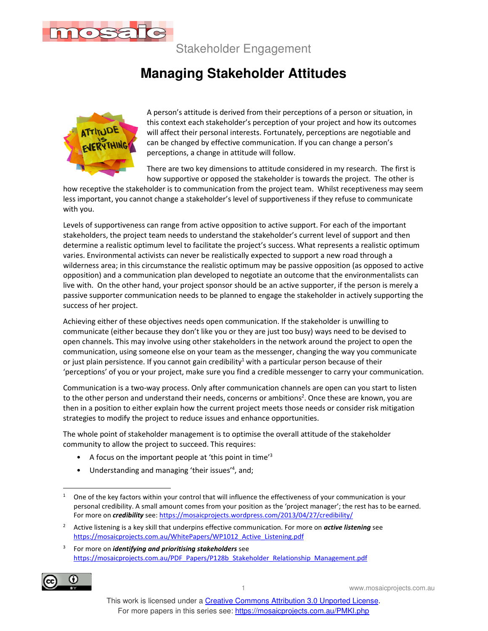

Stakeholder Engagement

## **Managing Stakeholder Attitudes**



A person's attitude is derived from their perceptions of a person or situation, in this context each stakeholder's perception of your project and how its outcomes will affect their personal interests. Fortunately, perceptions are negotiable and can be changed by effective communication. If you can change a person's perceptions, a change in attitude will follow.

There are two key dimensions to attitude considered in my research. The first is how supportive or opposed the stakeholder is towards the project. The other is

how receptive the stakeholder is to communication from the project team. Whilst receptiveness may seem less important, you cannot change a stakeholder's level of supportiveness if they refuse to communicate with you.

Levels of supportiveness can range from active opposition to active support. For each of the important stakeholders, the project team needs to understand the stakeholder's current level of support and then determine a realistic optimum level to facilitate the project's success. What represents a realistic optimum varies. Environmental activists can never be realistically expected to support a new road through a wilderness area; in this circumstance the realistic optimum may be passive opposition (as opposed to active opposition) and a communication plan developed to negotiate an outcome that the environmentalists can live with. On the other hand, your project sponsor should be an active supporter, if the person is merely a passive supporter communication needs to be planned to engage the stakeholder in actively supporting the success of her project.

Achieving either of these objectives needs open communication. If the stakeholder is unwilling to communicate (either because they don't like you or they are just too busy) ways need to be devised to open channels. This may involve using other stakeholders in the network around the project to open the communication, using someone else on your team as the messenger, changing the way you communicate or just plain persistence. If you cannot gain credibility<sup>1</sup> with a particular person because of their 'perceptions' of you or your project, make sure you find a credible messenger to carry your communication.

Communication is a two-way process. Only after communication channels are open can you start to listen to the other person and understand their needs, concerns or ambitions<sup>2</sup>. Once these are known, you are then in a position to either explain how the current project meets those needs or consider risk mitigation strategies to modify the project to reduce issues and enhance opportunities.

The whole point of stakeholder management is to optimise the overall attitude of the stakeholder community to allow the project to succeed. This requires:

- A focus on the important people at 'this point in time'<sup>3</sup>
- Understanding and managing 'their issues'<sup>4</sup> , and;

<sup>3</sup> For more on *identifying and prioritising stakeholders* see https://mosaicprojects.com.au/PDF\_Papers/P128b\_Stakeholder\_Relationship\_Management.pdf



1 www.mosaicprojects.com.au

<sup>1</sup> One of the key factors within your control that will influence the effectiveness of your communication is your personal credibility. A small amount comes from your position as the 'project manager'; the rest has to be earned. For more on *credibility* see: https://mosaicprojects.wordpress.com/2013/04/27/credibility/

<sup>2</sup> Active listening is a key skill that underpins effective communication. For more on *active listening* see https://mosaicprojects.com.au/WhitePapers/WP1012\_Active\_Listening.pdf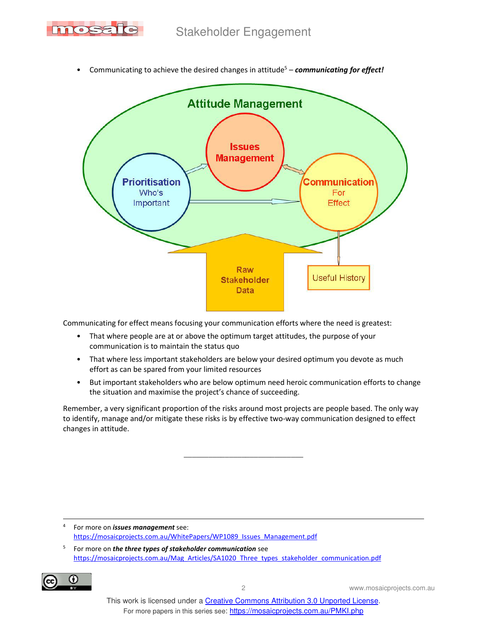



• Communicating to achieve the desired changes in attitude<sup>5</sup> - *communicating for effect!* 

Communicating for effect means focusing your communication efforts where the need is greatest:

- That where people are at or above the optimum target attitudes, the purpose of your communication is to maintain the status quo
- That where less important stakeholders are below your desired optimum you devote as much effort as can be spared from your limited resources
- But important stakeholders who are below optimum need heroic communication efforts to change the situation and maximise the project's chance of succeeding.

Remember, a very significant proportion of the risks around most projects are people based. The only way to identify, manage and/or mitigate these risks is by effective two-way communication designed to effect changes in attitude.

 $\overline{\phantom{a}}$ 

4 For more on *issues management* see: https://mosaicprojects.com.au/WhitePapers/WP1089\_Issues\_Management.pdf

5 For more on *the three types of stakeholder communication* see https://mosaicprojects.com.au/Mag\_Articles/SA1020\_Three\_types\_stakeholder\_communication.pdf